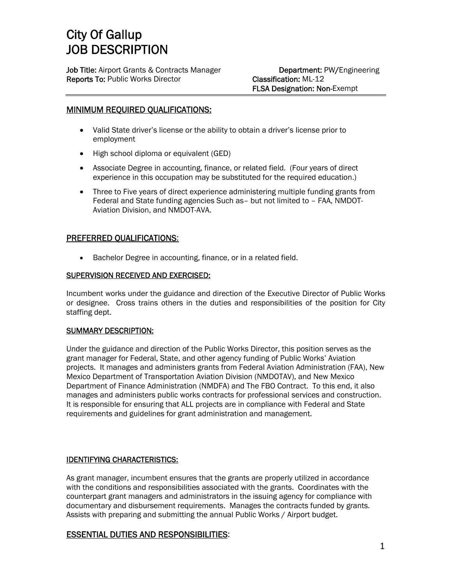# City Of Gallup JOB DESCRIPTION

Job Title: Airport Grants & Contracts Manager **Department: PW/Engineering** Reports To: Public Works Director Classification: ML-12

FLSA Designation: Non-Exempt

# MINIMUM REQUIRED QUALIFICATIONS:

- Valid State driver's license or the ability to obtain a driver's license prior to employment
- High school diploma or equivalent (GED)
- Associate Degree in accounting, finance, or related field. (Four years of direct experience in this occupation may be substituted for the required education.)
- Three to Five years of direct experience administering multiple funding grants from Federal and State funding agencies Such as– but not limited to – FAA, NMDOT-Aviation Division, and NMDOT-AVA.

# PREFERRED QUALIFICATIONS:

Bachelor Degree in accounting, finance, or in a related field.

## SUPERVISION RECEIVED AND EXERCISED:

Incumbent works under the guidance and direction of the Executive Director of Public Works or designee. Cross trains others in the duties and responsibilities of the position for City staffing dept.

## SUMMARY DESCRIPTION:

Under the guidance and direction of the Public Works Director, this position serves as the grant manager for Federal, State, and other agency funding of Public Works' Aviation projects. It manages and administers grants from Federal Aviation Administration (FAA), New Mexico Department of Transportation Aviation Division (NMDOTAV), and New Mexico Department of Finance Administration (NMDFA) and The FBO Contract. To this end, it also manages and administers public works contracts for professional services and construction. It is responsible for ensuring that ALL projects are in compliance with Federal and State requirements and guidelines for grant administration and management.

# IDENTIFYING CHARACTERISTICS:

As grant manager, incumbent ensures that the grants are properly utilized in accordance with the conditions and responsibilities associated with the grants. Coordinates with the counterpart grant managers and administrators in the issuing agency for compliance with documentary and disbursement requirements. Manages the contracts funded by grants. Assists with preparing and submitting the annual Public Works / Airport budget.

# ESSENTIAL DUTIES AND RESPONSIBILITIES: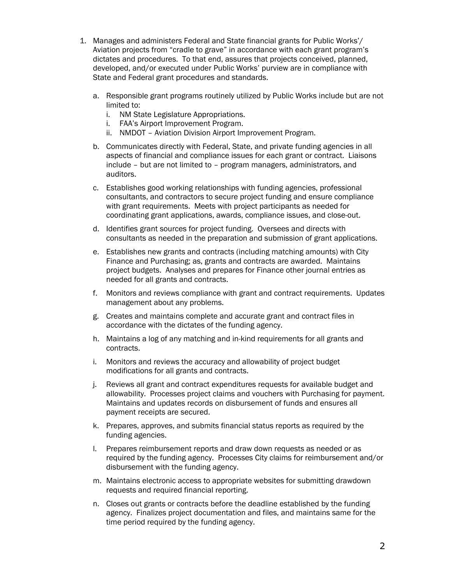- 1. Manages and administers Federal and State financial grants for Public Works'/ Aviation projects from "cradle to grave" in accordance with each grant program's dictates and procedures. To that end, assures that projects conceived, planned, developed, and/or executed under Public Works' purview are in compliance with State and Federal grant procedures and standards.
	- a. Responsible grant programs routinely utilized by Public Works include but are not limited to:
		- i. NM State Legislature Appropriations.
		- i. FAA's Airport Improvement Program.
		- ii. NMDOT Aviation Division Airport Improvement Program.
	- b. Communicates directly with Federal, State, and private funding agencies in all aspects of financial and compliance issues for each grant or contract. Liaisons include – but are not limited to – program managers, administrators, and auditors.
	- c. Establishes good working relationships with funding agencies, professional consultants, and contractors to secure project funding and ensure compliance with grant requirements. Meets with project participants as needed for coordinating grant applications, awards, compliance issues, and close-out.
	- d. Identifies grant sources for project funding. Oversees and directs with consultants as needed in the preparation and submission of grant applications.
	- e. Establishes new grants and contracts (including matching amounts) with City Finance and Purchasing; as, grants and contracts are awarded. Maintains project budgets. Analyses and prepares for Finance other journal entries as needed for all grants and contracts.
	- f. Monitors and reviews compliance with grant and contract requirements. Updates management about any problems.
	- g. Creates and maintains complete and accurate grant and contract files in accordance with the dictates of the funding agency.
	- h. Maintains a log of any matching and in-kind requirements for all grants and contracts.
	- i. Monitors and reviews the accuracy and allowability of project budget modifications for all grants and contracts.
	- j. Reviews all grant and contract expenditures requests for available budget and allowability. Processes project claims and vouchers with Purchasing for payment. Maintains and updates records on disbursement of funds and ensures all payment receipts are secured.
	- k. Prepares, approves, and submits financial status reports as required by the funding agencies.
	- l. Prepares reimbursement reports and draw down requests as needed or as required by the funding agency. Processes City claims for reimbursement and/or disbursement with the funding agency.
	- m. Maintains electronic access to appropriate websites for submitting drawdown requests and required financial reporting.
	- n. Closes out grants or contracts before the deadline established by the funding agency. Finalizes project documentation and files, and maintains same for the time period required by the funding agency.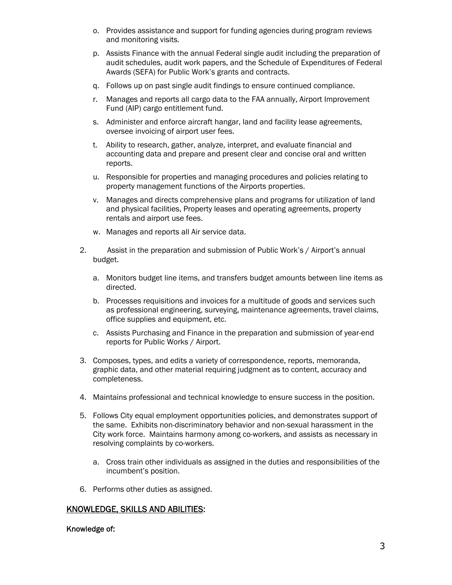- o. Provides assistance and support for funding agencies during program reviews and monitoring visits.
- p. Assists Finance with the annual Federal single audit including the preparation of audit schedules, audit work papers, and the Schedule of Expenditures of Federal Awards (SEFA) for Public Work's grants and contracts.
- q. Follows up on past single audit findings to ensure continued compliance.
- r. Manages and reports all cargo data to the FAA annually, Airport Improvement Fund (AIP) cargo entitlement fund.
- s. Administer and enforce aircraft hangar, land and facility lease agreements, oversee invoicing of airport user fees.
- t. Ability to research, gather, analyze, interpret, and evaluate financial and accounting data and prepare and present clear and concise oral and written reports.
- u. Responsible for properties and managing procedures and policies relating to property management functions of the Airports properties.
- v. Manages and directs comprehensive plans and programs for utilization of land and physical facilities, Property leases and operating agreements, property rentals and airport use fees.
- w. Manages and reports all Air service data.
- 2. Assist in the preparation and submission of Public Work's / Airport's annual budget.
	- a. Monitors budget line items, and transfers budget amounts between line items as directed.
	- b. Processes requisitions and invoices for a multitude of goods and services such as professional engineering, surveying, maintenance agreements, travel claims, office supplies and equipment, etc.
	- c. Assists Purchasing and Finance in the preparation and submission of year-end reports for Public Works / Airport.
- 3. Composes, types, and edits a variety of correspondence, reports, memoranda, graphic data, and other material requiring judgment as to content, accuracy and completeness.
- 4. Maintains professional and technical knowledge to ensure success in the position.
- 5. Follows City equal employment opportunities policies, and demonstrates support of the same. Exhibits non-discriminatory behavior and non-sexual harassment in the City work force. Maintains harmony among co-workers, and assists as necessary in resolving complaints by co-workers.
	- a. Cross train other individuals as assigned in the duties and responsibilities of the incumbent's position.
- 6. Performs other duties as assigned.

# KNOWLEDGE, SKILLS AND ABILITIES:

## Knowledge of: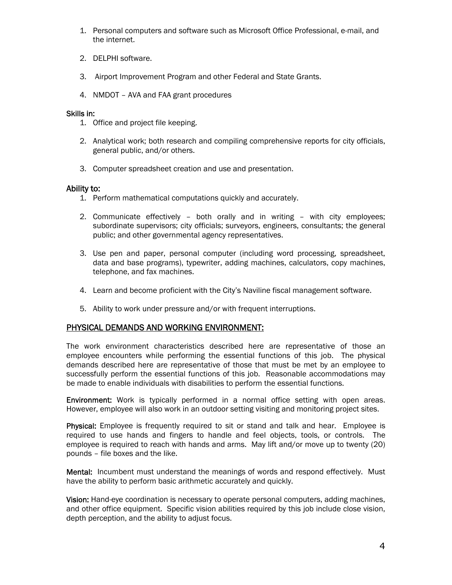- 1. Personal computers and software such as Microsoft Office Professional, e-mail, and the internet.
- 2. DELPHI software.
- 3. Airport Improvement Program and other Federal and State Grants.
- 4. NMDOT AVA and FAA grant procedures

## Skills in:

- 1. Office and project file keeping.
- 2. Analytical work; both research and compiling comprehensive reports for city officials, general public, and/or others.
- 3. Computer spreadsheet creation and use and presentation.

## Ability to:

- 1. Perform mathematical computations quickly and accurately.
- 2. Communicate effectively both orally and in writing with city employees; subordinate supervisors; city officials; surveyors, engineers, consultants; the general public; and other governmental agency representatives.
- 3. Use pen and paper, personal computer (including word processing, spreadsheet, data and base programs), typewriter, adding machines, calculators, copy machines, telephone, and fax machines.
- 4. Learn and become proficient with the City's Naviline fiscal management software.
- 5. Ability to work under pressure and/or with frequent interruptions.

# PHYSICAL DEMANDS AND WORKING ENVIRONMENT:

The work environment characteristics described here are representative of those an employee encounters while performing the essential functions of this job. The physical demands described here are representative of those that must be met by an employee to successfully perform the essential functions of this job. Reasonable accommodations may be made to enable individuals with disabilities to perform the essential functions.

Environment: Work is typically performed in a normal office setting with open areas. However, employee will also work in an outdoor setting visiting and monitoring project sites.

Physical: Employee is frequently required to sit or stand and talk and hear. Employee is required to use hands and fingers to handle and feel objects, tools, or controls. The employee is required to reach with hands and arms. May lift and/or move up to twenty (20) pounds – file boxes and the like.

**Mental:** Incumbent must understand the meanings of words and respond effectively. Must have the ability to perform basic arithmetic accurately and quickly.

Vision: Hand-eye coordination is necessary to operate personal computers, adding machines, and other office equipment. Specific vision abilities required by this job include close vision, depth perception, and the ability to adjust focus.